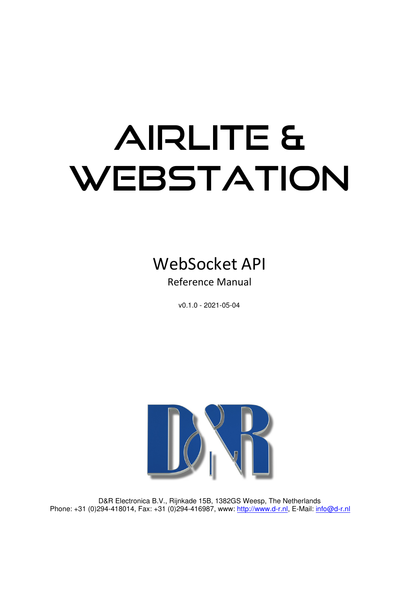# AIRLITE & WEBSTATION



Reference Manual

v0.1.0 - 2021-05-04



D&R Electronica B.V., Rijnkade 15B, 1382GS Weesp, The Netherlands Phone: +31 (0)294-418014, Fax: +31 (0)294-416987, www: http://www.d-r.nl, E-Mail: info@d-r.nl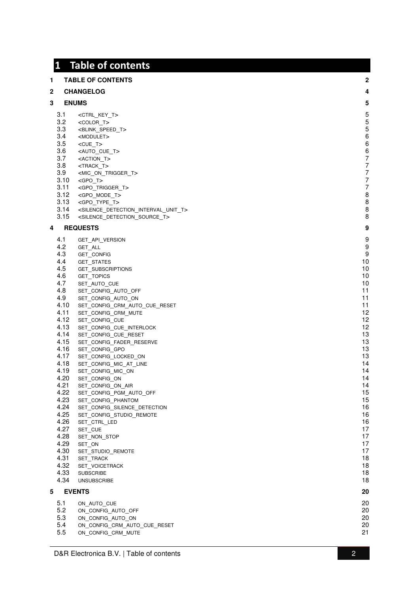#### **1 Table of contents 1 TABLE OF CONTENTS 2 2 CHANGELOG 4 3 ENUMS 5** 3.1 <CTRL\_KEY\_T> 5 3.2 <COLOR \_T> 5 3.3 <BLINK\_SPEED \_T> 5 3.4 <MODULET> 6 3.5 <CUE \_T> 6 3.6 <AUTO \_CUE \_T> 6 3.7 <ACTION \_T> 7 3.8 <TRACK\_T> 7 3.9 <MIC \_ON \_TRIGGER \_T> 7 3.10 <GPO \_T> 7 3.11 <GPO \_TRIGGER \_T> 7 3.12 <GPO \_MODE \_T> 8 3.13 <GPO \_TYPE \_T> 8 3.14 <SILENCE \_DETECTION \_INTERVAL\_UNIT \_T> 8 3.15 <SILENCE \_DETECTION \_SOURCE \_T> 8 **4 REQUESTS 9** 4.1 GET \_API \_VERSION 9 4.2 GET \_ALL 9 4.3 GET \_CONFIG 9 4.4 GET\_STATES<br>4.5 GET\_SUBSCF \_STATES 10 4.5 GET \_SUBSCRIPTIONS 10 4.6 GET\_TOPICS<br>4.7 SET AUTO 0  $\_$ TOPICS  $\qquad \qquad \qquad$ 4.7 SET \_AUTO  $\hbox{\small\it L}$  cue to the contract of the contract of the contract of the contract of the contract of the contract of the contract of the contract of the contract of the contract of the contract of the contract of the contra 4.8 SET \_CONFIG \_AUTO  $\overline{\phantom{a}}$   $\overline{\phantom{a}}$   $\overline{\phantom{a}}$   $\overline{\phantom{a}}$   $\overline{\phantom{a}}$   $\overline{\phantom{a}}$   $\overline{\phantom{a}}$   $\overline{\phantom{a}}$   $\overline{\phantom{a}}$   $\overline{\phantom{a}}$   $\overline{\phantom{a}}$   $\overline{\phantom{a}}$   $\overline{\phantom{a}}$   $\overline{\phantom{a}}$   $\overline{\phantom{a}}$   $\overline{\phantom{a}}$   $\overline{\phantom{a}}$   $\overline{\phantom{a}}$   $\overline{\$ 4.9 SET \_CONFIG \_AUTO  $\Box$ ON 11  $4.10$ \_CONFIG \_CRM \_AUTO \_CUE \_RESET 11  $4.11$ \_CONFIG \_CRM  $\lrcorner$  MUTE  $\lrcorner$  $4.12$ SET CONFIG CUE  $\pm$  CUE to the contract of the contract of the contract of the contract of the contract of the contract of the contract of the contract of the contract of the contract of the contract of the contract of the contract of t  $4.13$ \_CONFIG \_CUE \_INTERLOCK 12  $4.14$ \_CONFIG \_CUE \_RESET 13 4.15 SET \_CONFIG \_FADER \_RESERVE 13 4.16 SET \_CONFIG  $\_$ GPO 13  $4.17$ \_CONFIG \_LOCKED  $\sim$  0N  $\sim$  13  $4.18$ \_CONFIG \_MIC \_AT  $\blacksquare$ LINE  $\blacksquare$  $4.19$ \_CONFIG \_MIC  $\sim$  0N  $\sim$  14  $4.20$ SET CONFIG\_ON  $\sim$  0N  $\sim$  14  $4.21$ \_CONFIG \_ON  $\_\mathrm{AIR}$  . The set of the set of the set of the set of the set of the set of the set of the set of the set of the set of the set of the set of the set of the set of the set of the set of the set of the set of the set of  $4.22$ \_CONFIG \_PGM \_AUTO  $\overline{\phantom{a}}$  OFF  $\overline{\phantom{a}}$  $4.23$ \_CONFIG \_PHANTOM 15  $4.24$ \_CONFIG \_SILENCE \_DETECTION 16  $4.25$ \_CONFIG \_STUDIO \_REMOTE 16 4.26 SET\_CTRL\_LED \_CTRL\_LED 16 4.27 SET CUE  $\Box$ CUE  $\Box$  $4.28$ SET NON STOP  $\_$ STOP  $\_$ 4.29 SET  $\sim$  0N  $\sim$  17 4.30 SET\_STUDIC<br>4.31 SET TRACK SET STUDIO REMOTE \_REMOTE 17  $4.31$  $\_$ TRACK  $\_$  $4.32$ <br> $4.33$ **SET VOICETRACK** 18 A.33 SUBSCRIBE 2001 18 SUBSCRIBE 2002 18 SUBSCRIBE 2004 18 SUBSCRIBE 2004 18 A.34 UNSUBSCRIBE 18 **5 EVENTS 20**  $5.1$ ON AUTO CUE \_CUE 20 5.2 ON \_CONFIG \_AUTO  $\overline{\phantom{a}}$   $\overline{\phantom{a}}$   $\overline{\phantom{a}}$   $\overline{\phantom{a}}$   $\overline{\phantom{a}}$   $\overline{\phantom{a}}$   $\overline{\phantom{a}}$   $\overline{\phantom{a}}$   $\overline{\phantom{a}}$   $\overline{\phantom{a}}$   $\overline{\phantom{a}}$   $\overline{\phantom{a}}$   $\overline{\phantom{a}}$   $\overline{\phantom{a}}$   $\overline{\phantom{a}}$   $\overline{\phantom{a}}$   $\overline{\phantom{a}}$   $\overline{\phantom{a}}$   $\overline{\$ 5.3 ON \_CONFIG \_AUTO  $_{\rm ON}$  20  $5.4$ <br> $5.5$ \_CONFIG\_CRM\_AUTO\_CUE \_RESET 20 5.5 ON \_CONFIG \_CRM  $\blacksquare$ MUTE  $\blacksquare$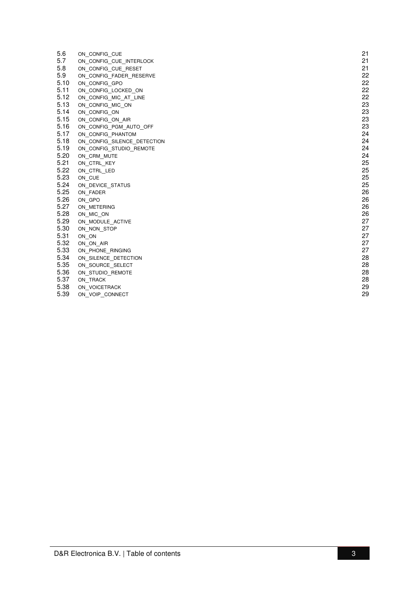| 5.6  | ON CONFIG CUE               | 21 |
|------|-----------------------------|----|
| 5.7  | ON_CONFIG_CUE_INTERLOCK     | 21 |
| 5.8  | ON CONFIG CUE RESET         | 21 |
| 5.9  | ON_CONFIG_FADER_RESERVE     | 22 |
| 5.10 | ON CONFIG GPO               | 22 |
| 5.11 | ON CONFIG LOCKED ON         | 22 |
| 5.12 | ON CONFIG MIC AT LINE       | 22 |
| 5.13 | ON CONFIG MIC ON            | 23 |
| 5.14 | ON CONFIG ON                | 23 |
| 5.15 | ON CONFIG ON AIR            | 23 |
| 5.16 | ON_CONFIG_PGM_AUTO_OFF      | 23 |
| 5.17 | ON CONFIG PHANTOM           | 24 |
| 5.18 | ON CONFIG SILENCE DETECTION | 24 |
| 5.19 | ON CONFIG STUDIO REMOTE     | 24 |
| 5.20 | ON CRM MUTE                 | 24 |
| 5.21 | ON_CTRL_KEY                 | 25 |
| 5.22 | ON CTRL LED                 | 25 |
| 5.23 | ON CUE                      | 25 |
| 5.24 | ON DEVICE STATUS            | 25 |
| 5.25 | ON_FADER                    | 26 |
| 5.26 | ON GPO                      | 26 |
| 5.27 | ON METERING                 | 26 |
| 5.28 | ON MIC ON                   | 26 |
| 5.29 | ON MODULE ACTIVE            | 27 |
| 5.30 | ON_NON_STOP                 | 27 |
| 5.31 | ON ON                       | 27 |
| 5.32 | ON ON AIR                   | 27 |
| 5.33 | ON PHONE RINGING            | 27 |
| 5.34 | ON SILENCE DETECTION        | 28 |
| 5.35 | ON SOURCE SELECT            | 28 |
| 5.36 | ON STUDIO REMOTE            | 28 |
| 5.37 | ON TRACK                    | 28 |
| 5.38 | ON VOICETRACK               | 29 |
| 5.39 | ON VOIP CONNECT             | 29 |
|      |                             |    |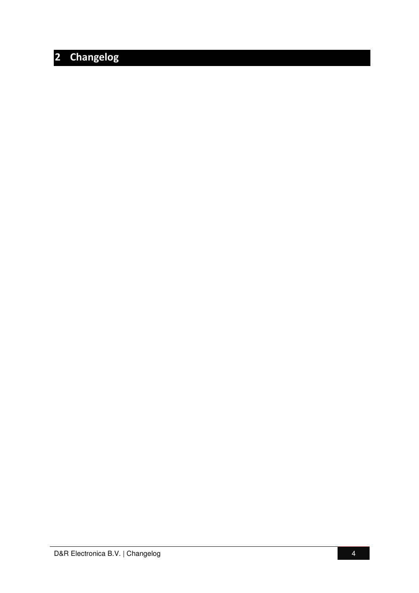# **2 Changelog**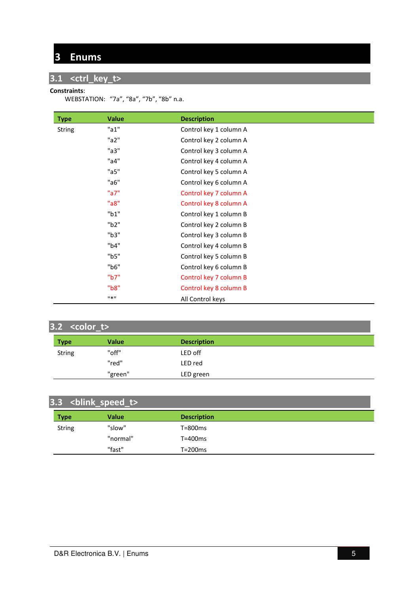# **3 Enums**

# **3.1 <ctrl\_key\_t>**

#### **Constraints**:

WEBSTATION: "7a", "8a", "7b", "8b" n.a.

| <b>Type</b>   | <b>Value</b> | <b>Description</b>     |
|---------------|--------------|------------------------|
| <b>String</b> | "a1"         | Control key 1 column A |
|               | "a2"         | Control key 2 column A |
|               | "a3"         | Control key 3 column A |
|               | "a4"         | Control key 4 column A |
|               | "a5"         | Control key 5 column A |
|               | "a6"         | Control key 6 column A |
|               | "a7"         | Control key 7 column A |
|               | "a8"         | Control key 8 column A |
|               | "b1"         | Control key 1 column B |
|               | "b2"         | Control key 2 column B |
|               | "b3"         | Control key 3 column B |
|               | "b4"         | Control key 4 column B |
|               | "b5"         | Control key 5 column B |
|               | "b6"         | Control key 6 column B |
|               | "b7"         | Control key 7 column B |
|               | "b8"         | Control key 8 column B |
|               | $11 * 11$    | All Control keys       |

| $3.2 \overline \left\{\text{color\_t} \right\}$ |              |                    |  |  |
|-------------------------------------------------|--------------|--------------------|--|--|
| <b>Type</b>                                     | <b>Value</b> | <b>Description</b> |  |  |
| <b>String</b>                                   | "off"        | LED off            |  |  |
|                                                 | "red"        | LED red            |  |  |
|                                                 | "green"      | LED green          |  |  |

| 3.3 <blink_speed_t></blink_speed_t> |              |                    |  |  |
|-------------------------------------|--------------|--------------------|--|--|
| <b>Type</b>                         | <b>Value</b> | <b>Description</b> |  |  |
| <b>String</b>                       | "slow"       | T=800ms            |  |  |
|                                     | "normal"     | T=400ms            |  |  |
|                                     | "fast"       | T=200ms            |  |  |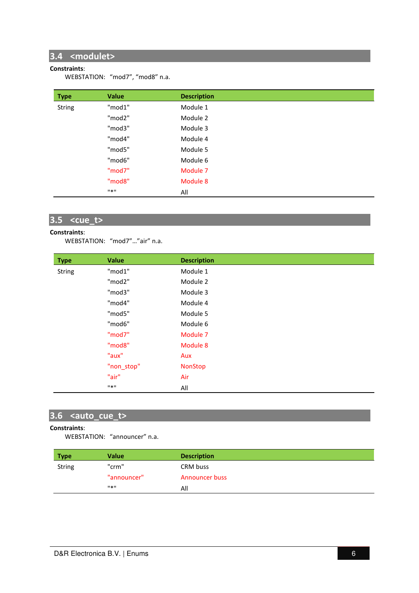## **3.4 <modulet>**

#### **Constraints**:

WEBSTATION: "mod7", "mod8" n.a.

| <b>Type</b>   | <b>Value</b> | <b>Description</b> |  |
|---------------|--------------|--------------------|--|
| <b>String</b> | "mod1"       | Module 1           |  |
|               | "mod2"       | Module 2           |  |
|               | "mod3"       | Module 3           |  |
|               | "mod4"       | Module 4           |  |
|               | "mod5"       | Module 5           |  |
|               | "mod6"       | Module 6           |  |
|               | "mod7"       | Module 7           |  |
|               | "mod8"       | Module 8           |  |
|               | $11*11$      | All                |  |

# **3.5 <cue\_t>**

#### **Constraints**:

WEBSTATION: "mod7"…"air" n.a.

| <b>Type</b>   | Value      | <b>Description</b> |
|---------------|------------|--------------------|
| <b>String</b> | "mod1"     | Module 1           |
|               | "mod2"     | Module 2           |
|               | "mod3"     | Module 3           |
|               | "mod4"     | Module 4           |
|               | "mod5"     | Module 5           |
|               | "mod6"     | Module 6           |
|               | "mod7"     | Module 7           |
|               | "mod8"     | Module 8           |
|               | "aux"      | Aux                |
|               | "non_stop" | <b>NonStop</b>     |
|               | "air"      | Air                |
|               | $11 * 11$  | All                |

## **3.6 <auto\_cue\_t>**

#### **Constraints**:

WEBSTATION: "announcer" n.a.

| <b>Type</b> | Value       | <b>Description</b>    |
|-------------|-------------|-----------------------|
| String      | "crm"       | CRM buss              |
|             | "announcer" | <b>Announcer buss</b> |
|             | Ⅱ *Ⅱ        | All                   |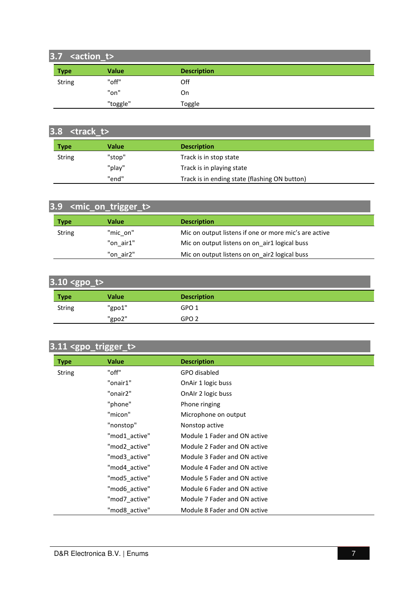# **3.7 <action\_t>**

| ---         |          |                    |  |
|-------------|----------|--------------------|--|
| <b>Type</b> | Value    | <b>Description</b> |  |
| String      | "off"    | Off                |  |
|             | "on"     | On                 |  |
|             | "toggle" | Toggle             |  |

| $3.8$ <track t=""/> |        |                                               |  |  |
|---------------------|--------|-----------------------------------------------|--|--|
| <b>Type</b>         | Value  | <b>Description</b>                            |  |  |
| <b>String</b>       | "stop" | Track is in stop state                        |  |  |
|                     | "play" | Track is in playing state                     |  |  |
|                     | "end"  | Track is in ending state (flashing ON button) |  |  |

| 3.9 <mic_on_trigger_t></mic_on_trigger_t> |           |                                                       |  |  |
|-------------------------------------------|-----------|-------------------------------------------------------|--|--|
| <b>Type</b>                               | Value     | <b>Description</b>                                    |  |  |
| <b>String</b>                             | "mic on"  | Mic on output listens if one or more mic's are active |  |  |
|                                           | "on air1" | Mic on output listens on on air1 logical buss         |  |  |
|                                           | "on air2" | Mic on output listens on on air2 logical buss         |  |  |

| $3.10$ <gpo_t></gpo_t> |        |                    |  |
|------------------------|--------|--------------------|--|
| <b>Type</b>            | Value  | <b>Description</b> |  |
| String                 | "gpo1" | GPO <sub>1</sub>   |  |
|                        | "gpo2" | GPO <sub>2</sub>   |  |

# **3.11 <gpo\_trigger\_t>**

| <b>Type</b>   | <b>Value</b>  | <b>Description</b>           |
|---------------|---------------|------------------------------|
| <b>String</b> | "off"         | GPO disabled                 |
|               | "onair1"      | OnAir 1 logic buss           |
|               | "onair2"      | OnAIr 2 logic buss           |
|               | "phone"       | Phone ringing                |
|               | "micon"       | Microphone on output         |
|               | "nonstop"     | Nonstop active               |
|               | "mod1 active" | Module 1 Fader and ON active |
|               | "mod2 active" | Module 2 Fader and ON active |
|               | "mod3_active" | Module 3 Fader and ON active |
|               | "mod4 active" | Module 4 Fader and ON active |
|               | "mod5 active" | Module 5 Fader and ON active |
|               | "mod6 active" | Module 6 Fader and ON active |
|               | "mod7 active" | Module 7 Fader and ON active |
|               | "mod8 active" | Module 8 Fader and ON active |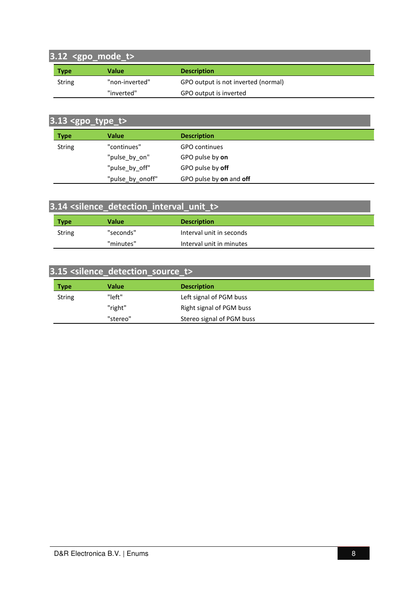# **3.12 <gpo\_mode\_t>**

| <b>Type</b> | Value          | <b>Description</b>                  |
|-------------|----------------|-------------------------------------|
| String      | "non-inverted" | GPO output is not inverted (normal) |
|             | "inverted"     | GPO output is inverted              |

# **3.13 <gpo\_type\_t>**

| <b>Type</b>   | Value            | <b>Description</b>      |  |
|---------------|------------------|-------------------------|--|
| <b>String</b> | "continues"      | GPO continues           |  |
|               | "pulse_by_on"    | GPO pulse by on         |  |
|               | "pulse by off"   | GPO pulse by off        |  |
|               | "pulse_by_onoff" | GPO pulse by on and off |  |

| 3.14 <silence_detection_interval_unit_t></silence_detection_interval_unit_t> |           |                          |  |  |
|------------------------------------------------------------------------------|-----------|--------------------------|--|--|
| <b>Type</b>                                                                  | Value     | <b>Description</b>       |  |  |
| String                                                                       | "seconds" | Interval unit in seconds |  |  |
|                                                                              | "minutes" | Interval unit in minutes |  |  |

# **3.15 <silence\_detection\_source\_t>**

| <b>Type</b>   | Value    | <b>Description</b>        |
|---------------|----------|---------------------------|
| <b>String</b> | "left"   | Left signal of PGM buss   |
|               | "right"  | Right signal of PGM buss  |
|               | "stereo" | Stereo signal of PGM buss |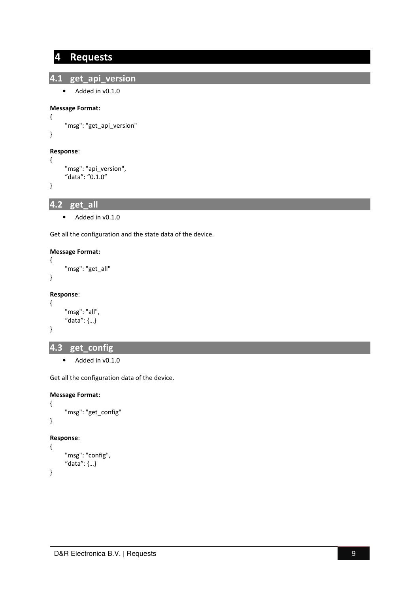## **4 Requests**

#### **4.1 get\_api\_version**

```
• Added in v0.1.0
```

```
Message Format:
```

```
 "msg": "get_api_version"
```
#### **Response**:

```
 "msg": "api_version", 
 "data": "0.1.0"
```
}

{

}

{

**4.2 get\_all** 

• Added in v0.1.0

Get all the configuration and the state data of the device.

#### **Message Format:**

```
 "msg": "get_all"
```

```
}
```
{

#### **Response**:

```
{ 
       "msg": "all", 
       "data": {…} 
}
```
## **4.3 get\_config**

• Added in v0.1.0

Get all the configuration data of the device.

```
{ 
       "msg": "get_config" 
} 
Response: 
{ 
       "msg": "config",
```

```
 "data": {…}
```

```
}
```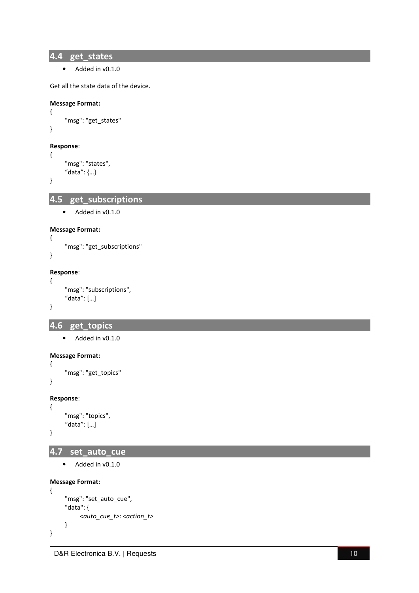**4.4 get\_states** 

• Added in v0.1.0

Get all the state data of the device.

```
Message Format:
```

```
 "msg": "get_states"
```
#### **Response**:

```
 "msg": "states", 
 "data": {…}
```
}

{

}

{

**4.5 get\_subscriptions** 

• Added in v0.1.0

#### **Message Format:**

```
{ 
      "msg": "get_subscriptions" 
}
```
#### **Response**: {

```
 "msg": "subscriptions", 
 "data": […]
```
## **4.6 get\_topics**

• Added in v0.1.0

```
Message Format:
```

```
{ 
      "msg": "get_topics"
```
}

}

#### **Response**:

```
 "msg": "topics", 
 "data": […]
```
}

{

```
4.7 set_auto_cue
```
• Added in v0.1.0

```
{ 
      "msg": "set_auto_cue", 
      "data": { 
            <auto_cue_t>: <action_t> 
      }
}
```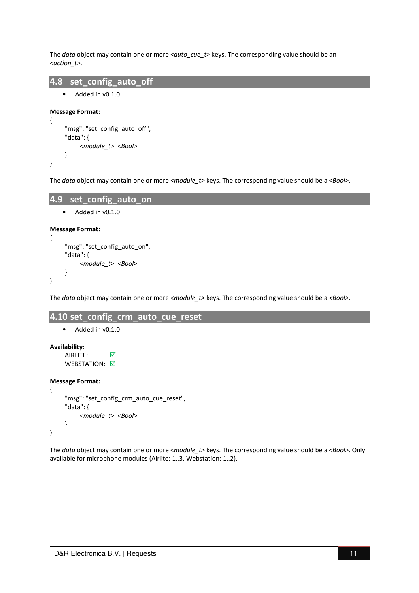The *data* object may contain one or more *<auto cue* t> keys. The corresponding value should be an *<action\_t>*.

```
4.8 set_config_auto_off 
   • Added in v0.1.0
```

```
Message Format:
```
{

}

```
 "msg": "set_config_auto_off", 
 "data": { 
      <module_t>: <Bool>
 }
```
The *data* object may contain one or more *<module\_t>* keys. The corresponding value should be a *<Bool>*.

```
4.9 set_config_auto_on 
    • Added in v0.1.0 
Message Format:
{ 
    "msg": "set_config_auto_on",
     "data": { 
          <module_t>: <Bool>
```
The *data* object may contain one or more *<module\_t>* keys. The corresponding value should be a *<Bool>*.

#### **4.10 set\_config\_crm\_auto\_cue\_reset**

```
• Added in v0.1.0
```
**Availability**:

}

}

AIRLITE: **○** WEBSTATION: 0

#### **Message Format:**

```
{ 
     "msg": "set_config_crm_auto_cue_reset",
      "data": { 
            <module_t>: <Bool>
      } 
}
```
The *data* object may contain one or more *<module\_t>* keys. The corresponding value should be a *<Bool>*. Only available for microphone modules (Airlite: 1..3, Webstation: 1..2).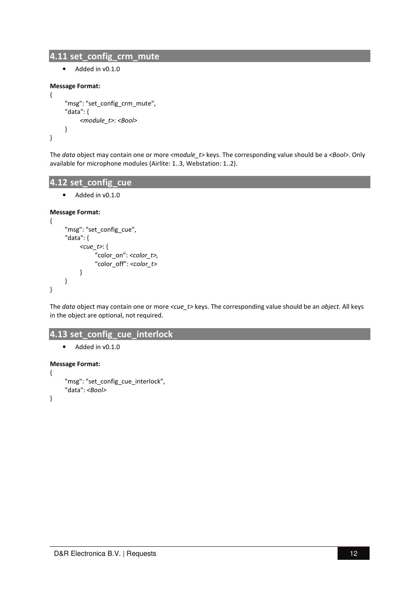#### **4.11 set\_config\_crm\_mute**

• Added in v0.1.0

#### **Message Format:**

```
{ 
       "msg": "set_config_crm_mute", 
      "data": { 
            <module_t>: <Bool>
      } 
}
```
The *data* object may contain one or more *<module\_t>* keys. The corresponding value should be a *<Bool>*. Only available for microphone modules (Airlite: 1..3, Webstation: 1..2).

## **4.12 set\_config\_cue**

```
• Added in v0.1.0
```
#### **Message Format:**

```
{ 
       "msg": "set_config_cue", 
       "data": { 
             <cue_t>: { 
                  "color_on": <color_t>, 
                  "color_off": <color_t> 
            } 
       } 
}
```
The *data* object may contain one or more *<cue\_t>* keys. The corresponding value should be an *object.* All keys in the object are optional, not required.

#### **4.13 set\_config\_cue\_interlock**

```
• Added in v0.1.0
```
#### **Message Format:**

{

}

```
 "msg": "set_config_cue_interlock", 
 "data": <Bool>
```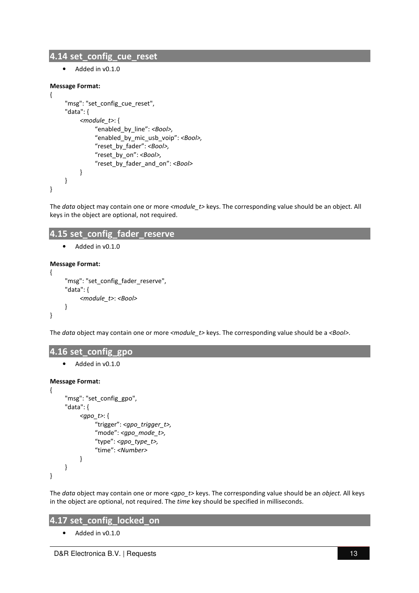#### **4.14 set\_config\_cue\_reset**

• Added in v0.1.0

#### **Message Format:**

```
{ 
      "msg": "set_config_cue_reset", 
      "data": { 
            <module_t>: { 
                 "enabled_by_line": <Bool>, 
                 "enabled_by_mic_usb_voip": <Bool>, 
                 "reset_by_fader": <Bool>, 
                "reset_by_on": <Bool>, 
                "reset_by_fader_and_on": <Bool> 
           } 
      } 
}
```
The *data* object may contain one or more <module t> keys. The corresponding value should be an object. All keys in the object are optional, not required.

#### **4.15 set\_config\_fader\_reserve**

```
• Added in v0.1.0
```
#### **Message Format:**

```
{ 
       "msg": "set_config_fader_reserve", 
       "data": { 
             <module_t>: <Bool>
       } 
}
```
The *data* object may contain one or more *<module\_t>* keys. The corresponding value should be a *<Bool>*.

#### **4.16 set\_config\_gpo**

• Added in v0.1.0

#### **Message Format:**

```
 "msg": "set_config_gpo", 
 "data": { 
      <gpo_t>: { 
           "trigger": <gpo_trigger_t>, 
           "mode": <gpo_mode_t>,
           "type": <gpo_type_t>, 
           "time": <Number>
     } 
 }
```

```
}
```
{

The *data* object may contain one or more *<gpo\_t>* keys. The corresponding value should be an *object.* All keys in the object are optional, not required. The *time* key should be specified in milliseconds.

#### **4.17 set\_config\_locked\_on**

• Added in v0.1.0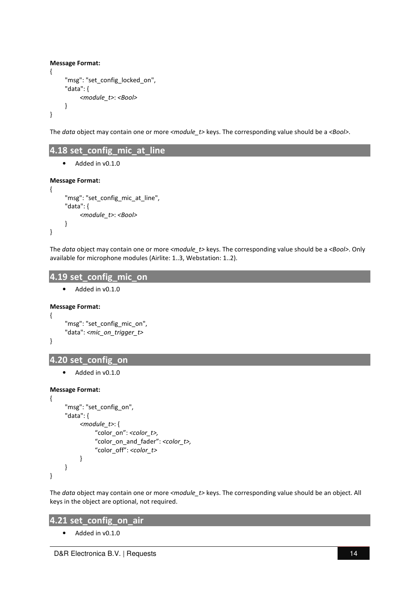```
Message Format:
{ 
      "msg": "set_config_locked_on", 
      "data": { 
            <module_t>: <Bool>
      } 
}
```
The *data* object may contain one or more *<module\_t>* keys. The corresponding value should be a *<Bool>*.

## **4.18 set\_config\_mic\_at\_line**

• Added in v0.1.0

#### **Message Format:**

```
{ 
      "msg": "set_config_mic_at_line",
      "data": { 
            <module_t>: <Bool>
      } 
}
```
The *data* object may contain one or more *<module\_t>* keys. The corresponding value should be a *<Bool>*. Only available for microphone modules (Airlite: 1..3, Webstation: 1..2).

#### **4.19 set\_config\_mic\_on**

• Added in v0.1.0

#### **Message Format:**

{

}

```
 "msg": "set_config_mic_on", 
 "data": <mic_on_trigger_t>
```
## **4.20 set\_config\_on**

Added in v0.1.0

#### **Message Format:**

```
{ 
       "msg": "set_config_on", 
       "data": { 
             <module_t>: { 
                 "color_on": <color_t>, 
                  "color_on_and_fader": <color_t>, 
                  "color_off": <color_t> 
           } 
      } 
}
```
The *data* object may contain one or more *<module\_t>* keys. The corresponding value should be an object. All keys in the object are optional, not required.

## **4.21 set\_config\_on\_air**

• Added in v0.1.0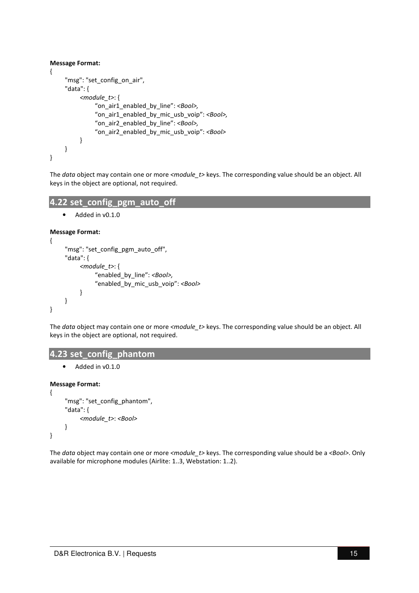#### **Message Format:**

```
{ 
      "msg": "set_config_on_air", 
      "data": { 
           <module_t>: { 
                "on_air1_enabled_by_line": <Bool>, 
                "on_air1_enabled_by_mic_usb_voip": <Bool>, 
                "on_air2_enabled_by_line": <Bool>, 
                "on_air2_enabled_by_mic_usb_voip": <Bool> 
          } 
      } 
}
```
The *data* object may contain one or more *<module\_t>* keys. The corresponding value should be an object. All keys in the object are optional, not required.

#### **4.22 set\_config\_pgm\_auto\_off**

• Added in v0.1.0

#### **Message Format:**

```
{ 
      "msg": "set_config_pgm_auto_off", 
      "data": { 
            <module_t>: { 
                 "enabled_by_line": <Bool>, 
                 "enabled_by_mic_usb_voip": <Bool> 
           } 
      } 
}
```
The *data* object may contain one or more *<module\_t>* keys. The corresponding value should be an object. All keys in the object are optional, not required.

#### **4.23 set\_config\_phantom**

• Added in v0.1.0

#### **Message Format:**

```
{ 
       "msg": "set_config_phantom", 
       "data": { 
             <module_t>: <Bool>
      } 
}
```
The *data* object may contain one or more *<module\_t>* keys. The corresponding value should be a *<Bool>*. Only available for microphone modules (Airlite: 1..3, Webstation: 1..2).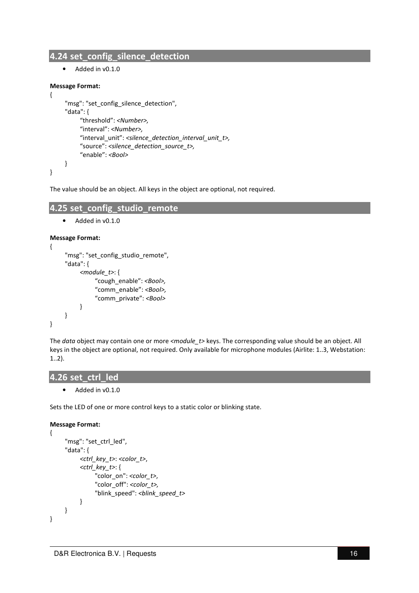## **4.24 set\_config\_silence\_detection**

• Added in v0.1.0

#### **Message Format:**

```
{ 
      "msg": "set_config_silence_detection", 
      "data": { 
            "threshold": <Number>, 
            "interval": <Number>, 
            "interval_unit": <silence_detection_interval_unit_t>, 
            "source": <silence_detection_source_t>, 
            "enable": <Bool> 
      } 
}
```
The value should be an object. All keys in the object are optional, not required.

#### **4.25 set\_config\_studio\_remote**

```
• Added in v0.1.0
```
#### **Message Format:**

```
{ 
      "msg": "set_config_studio_remote", 
      "data": { 
            <module_t>: { 
                  "cough_enable": <Bool>, 
                  "comm_enable": <Bool>,
                  "comm_private": <Bool> 
            } 
      } 
}
```
The *data* object may contain one or more *<module\_t>* keys. The corresponding value should be an object. All keys in the object are optional, not required. Only available for microphone modules (Airlite: 1..3, Webstation: 1..2).

#### **4.26 set\_ctrl\_led**

• Added in v0.1.0

Sets the LED of one or more control keys to a static color or blinking state.

```
{ 
       "msg": "set_ctrl_led", 
       "data": { 
             <ctrl_key_t>: <color_t>, 
             <ctrl_key_t>: { 
                   "color_on": <color_t>, 
                   "color_off": <color_t>,
                   "blink_speed": <blink_speed_t>
             } 
       } 
}
```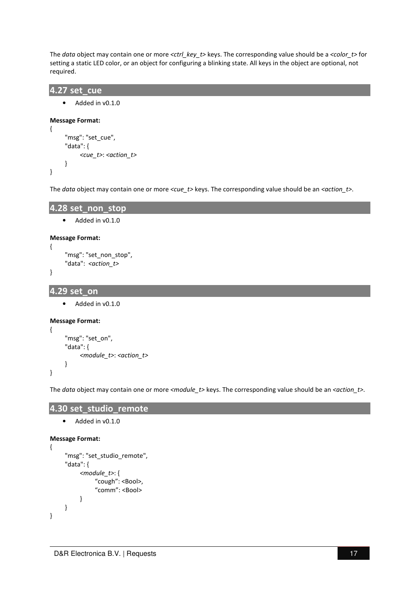The *data* object may contain one or more *<ctrl\_key\_t>* keys. The corresponding value should be a *<color\_t>* for setting a static LED color, or an object for configuring a blinking state. All keys in the object are optional, not required.

```
4.27 set_cue
```

```
• Added in v0.1.0
```

```
Message Format:
{
```

```
 "msg": "set_cue", 
       "data": { 
             <cue_t>: <action_t>
       } 
}
```
The *data* object may contain one or more *<cue\_t>* keys. The corresponding value should be an *<action\_t>*.

```
4.28 set_non_stop
```

```
• Added in v0.1.0
```
#### **Message Format:**

```
"msg": "set_non_stop",
 "data": <action_t>
```

```
}
```
{

}

{

```
4.29 set_on
```
• Added in v0.1.0

#### **Message Format:**

```
 "msg": "set_on", 
 "data": { 
      <module_t>: <action_t>
 }
```
The *data* object may contain one or more *<module\_t>* keys. The corresponding value should be an *<action\_t>*.

## **4.30 set\_studio\_remote**

```
• Added in v0.1.0
```

```
{ 
       "msg": "set_studio_remote", 
       "data": { 
             <module_t>: { 
                   "cough": <Bool>, 
                   "comm": <Bool> 
            } 
       } 
}
```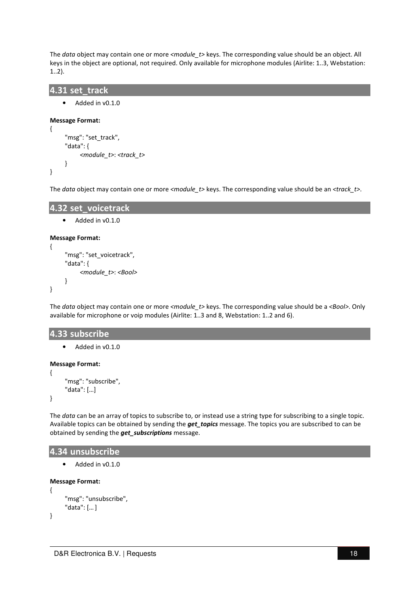The *data* object may contain one or more *<module\_t>* keys. The corresponding value should be an object. All keys in the object are optional, not required. Only available for microphone modules (Airlite: 1..3, Webstation: 1..2).

#### **4.31 set\_track**

Added in v0.1.0

```
Message Format:
```

```
{ 
       "msg": "set_track", 
       "data": { 
             <module_t>: <track_t>
       } 
}
```
The *data* object may contain one or more *<module\_t>* keys. The corresponding value should be an *<track\_t>*.

```
4.32 set_voicetrack
```

```
• Added in v0.1.0
```
#### **Message Format:**

```
{ 
       "msg": "set_voicetrack", 
       "data": { 
             <module_t>: <Bool>
       } 
}
```
The *data* object may contain one or more *<module\_t>* keys. The corresponding value should be a *<Bool>*. Only available for microphone or voip modules (Airlite: 1..3 and 8, Webstation: 1..2 and 6).

#### **4.33 subscribe**

```
• Added in v0.1.0
```
#### **Message Format:**

{

}

```
 "msg": "subscribe", 
 "data": […]
```
The *data* can be an array of topics to subscribe to, or instead use a string type for subscribing to a single topic. Available topics can be obtained by sending the *get\_topics* message. The topics you are subscribed to can be obtained by sending the *get\_subscriptions* message.

#### **4.34 unsubscribe**

• Added in v0.1.0

```
{ 
       "msg": "unsubscribe", 
       "data": [… ] 
}
```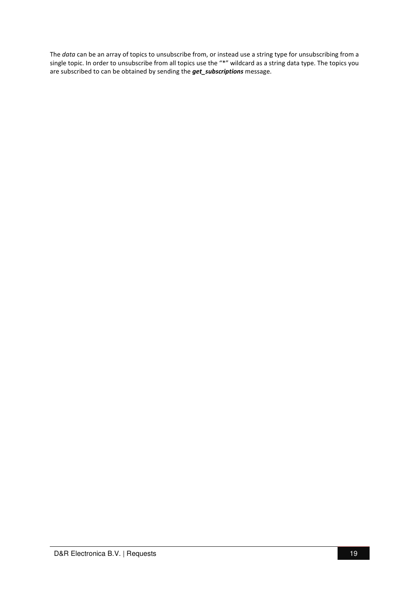The *data* can be an array of topics to unsubscribe from, or instead use a string type for unsubscribing from a single topic. In order to unsubscribe from all topics use the "\*" wildcard as a string data type. The topics you are subscribed to can be obtained by sending the *get\_subscriptions* message.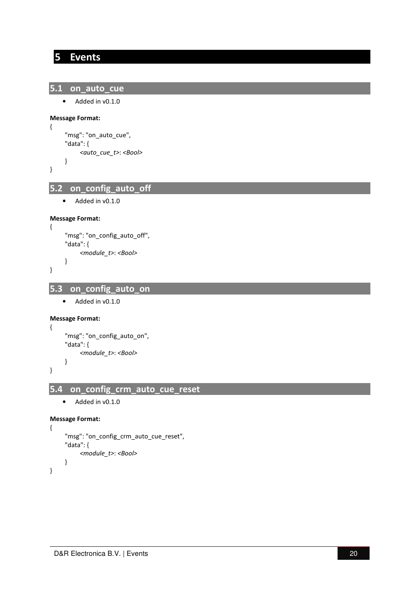## **5 Events**

```
5.1 on_auto_cue
```

```
• Added in v0.1.0
```
#### **Message Format:**

```
 "msg": "on_auto_cue", 
 "data": { 
      <auto_cue_t>: <Bool> 
 }
```

```
}
```
{

**5.2 on\_config\_auto\_off** 

```
• Added in v0.1.0
```
#### **Message Format:**

```
 "msg": "on_config_auto_off", 
 "data": { 
      <module_t>: <Bool> 
 }
```

```
}
```
{

## **5.3 on\_config\_auto\_on**

```
• Added in v0.1.0
```
#### **Message Format:**

```
 "msg": "on_config_auto_on", 
 "data": { 
      <module_t>: <Bool> 
 }
```
}

{

# **5.4 on\_config\_crm\_auto\_cue\_reset**

• Added in v0.1.0

#### **Message Format:**

```
{ 
      "msg": "on_config_crm_auto_cue_reset", 
      "data": { 
            <module_t>: <Bool> 
      }
```
}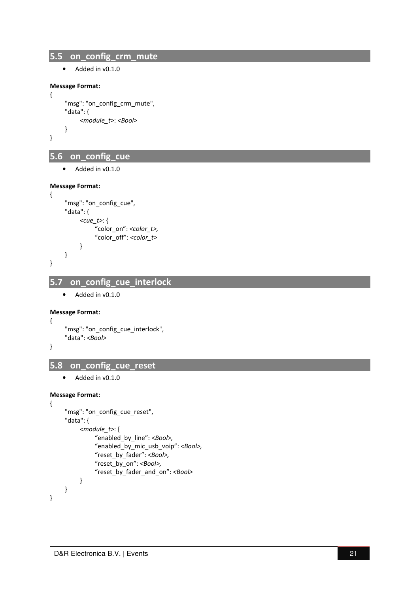## **5.5 on\_config\_crm\_mute**

• Added in v0.1.0

#### **Message Format:**

{

}

{

```
 "msg": "on_config_crm_mute", 
 "data": { 
      <module_t>: <Bool> 
 }
```
## **5.6 on\_config\_cue**

• Added in v0.1.0

#### **Message Format:**

```
 "msg": "on_config_cue", 
       "data": { 
             <cue_t>: { 
                  "color_on": <color_t>, 
                  "color_off": <color_t> 
           } 
       } 
}
```
## **5.7 on\_config\_cue\_interlock**

• Added in v0.1.0

#### **Message Format:**

```
"msg": "on config cue interlock",
 "data": <Bool>
```
}

{

}

{

## **5.8 on\_config\_cue\_reset**

• Added in v0.1.0

```
 "msg": "on_config_cue_reset", 
 "data": { 
      <module_t>: { 
          "enabled_by_line": <Bool>, 
           "enabled_by_mic_usb_voip": <Bool>, 
          "reset_by_fader": <Bool>, 
          "reset_by_on": <Bool>, 
          "reset_by_fader_and_on": <Bool> 
     } 
 }
```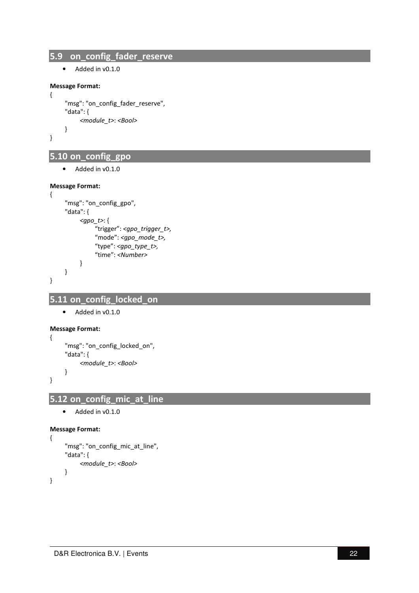## **5.9 on\_config\_fader\_reserve**

• Added in v0.1.0

#### **Message Format:**

{

}

```
 "msg": "on_config_fader_reserve", 
 "data": { 
      <module_t>: <Bool> 
 }
```
# **5.10 on\_config\_gpo**

• Added in v0.1.0

#### **Message Format:**

```
{ 
      "msg": "on_config_gpo", 
      "data": { 
            <gpo_t>: { 
                "trigger": <gpo_trigger_t>, 
                "mode": <gpo_mode_t>,
                "type": <gpo_type_t>, 
                "time": <Number>
          } 
      } 
}
```
## **5.11 on\_config\_locked\_on**

• Added in v0.1.0

```
Message Format:
{
```

```
 "msg": "on_config_locked_on", 
 "data": { 
      <module_t>: <Bool> 
 }
```
## **5.12 on\_config\_mic\_at\_line**

• Added in v0.1.0

```
Message Format:
```
}

{

}

```
 "msg": "on_config_mic_at_line", 
 "data": { 
      <module_t>: <Bool> 
 }
```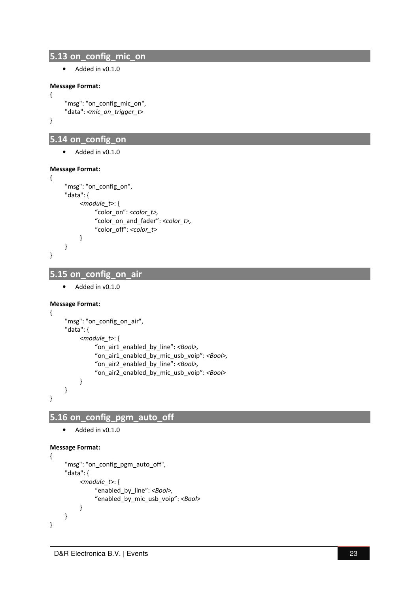#### **5.13 on\_config\_mic\_on**

• Added in v0.1.0

#### **Message Format:**

```
 "msg": "on_config_mic_on", 
 "data": <mic_on_trigger_t>
```
}

{

## **5.14 on\_config\_on**

• Added in v0.1.0

#### **Message Format:**

```
{ 
       "msg": "on_config_on", 
      "data": { 
            <module_t>: { 
                 "color_on": <color_t>, 
                 "color_on_and_fader": <color_t>, 
                 "color_off": <color_t> 
           } 
      } 
}
```
## **5.15 on\_config\_on\_air**

• Added in v0.1.0

#### **Message Format:**

```
{ 
      "msg": "on_config_on_air", 
      "data": { 
           <module_t>: { 
                "on_air1_enabled_by_line": <Bool>, 
                "on_air1_enabled_by_mic_usb_voip": <Bool>, 
                "on_air2_enabled_by_line": <Bool>, 
                "on_air2_enabled_by_mic_usb_voip": <Bool> 
          } 
     } 
}
```
# **5.16 on\_config\_pgm\_auto\_off**

```
• Added in v0.1.0
```

```
{ 
      "msg": "on_config_pgm_auto_off", 
      "data": { 
            <module_t>: { 
                 "enabled_by_line": <Bool>, 
                "enabled_by_mic_usb_voip": <Bool> 
           } 
      } 
}
```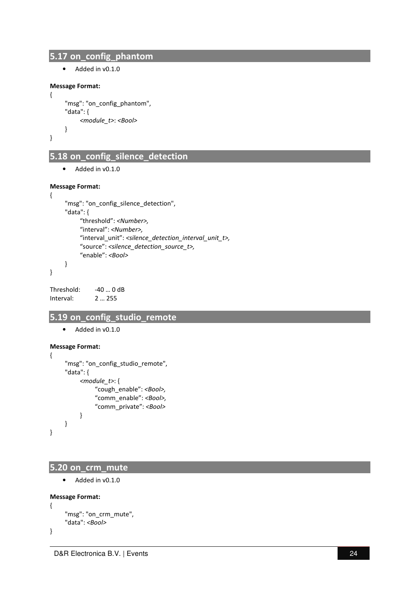## **5.17 on\_config\_phantom**

• Added in v0.1.0

#### **Message Format:**

```
 "msg": "on_config_phantom", 
 "data": { 
      <module_t>: <Bool>
 }
```

```
}
```
{

## **5.18 on\_config\_silence\_detection**

• Added in v0.1.0

#### **Message Format:**

```
{ 
      "msg": "on_config_silence_detection", 
      "data": { 
            "threshold": <Number>, 
            "interval": <Number>, 
            "interval_unit": <silence_detection_interval_unit_t>, 
            "source": <silence_detection_source_t>, 
            "enable": <Bool> 
      } 
}
```
Threshold: -40 ... 0 dB Interval: 2 … 255

#### **5.19 on\_config\_studio\_remote**

• Added in v0.1.0

#### **Message Format:**

{

}

```
 "msg": "on_config_studio_remote", 
 "data": { 
      <module_t>: { 
            "cough_enable": <Bool>, 
            "comm_enable": <Bool>,
            "comm_private": <Bool> 
      } 
 }
```
#### **5.20 on\_crm\_mute**

```
• Added in v0.1.0
```

```
{ 
      "msg": "on_crm_mute", 
      "data": <Bool>
```

```
}
```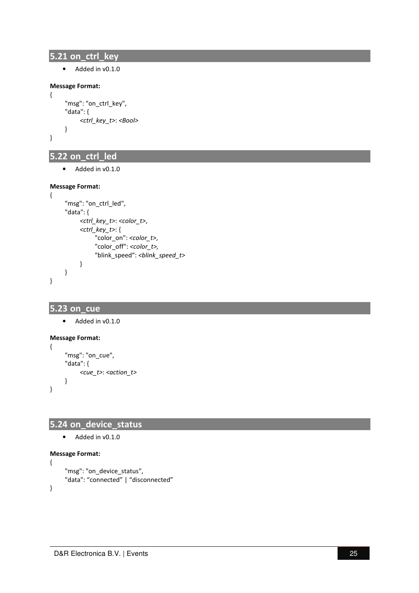## **5.21 on\_ctrl\_key**

• Added in v0.1.0

#### **Message Format:**

{

}

```
 "msg": "on_ctrl_key", 
 "data": { 
       <ctrl_key_t>: <Bool>
 }
```
# **5.22 on\_ctrl\_led**

• Added in v0.1.0

#### **Message Format:**

```
{ 
       "msg": "on_ctrl_led", 
       "data": { 
             <ctrl_key_t>: <color_t>, 
             <ctrl_key_t>: { 
                  "color_on": <color_t>, 
                  "color_off": <color_t>,
                  "blink_speed": <blink_speed_t>
            } 
       } 
}
```
#### **5.23 on\_cue**

• Added in v0.1.0

#### **Message Format:**

```
{ 
       "msg": "on_cue", 
       "data": { 
             <cue_t>: <action_t>
       } 
}
```
## **5.24 on\_device\_status**

```
• Added in v0.1.0
```

```
{ 
      "msg": "on_device_status", 
      "data": "connected" | "disconnected" 
}
```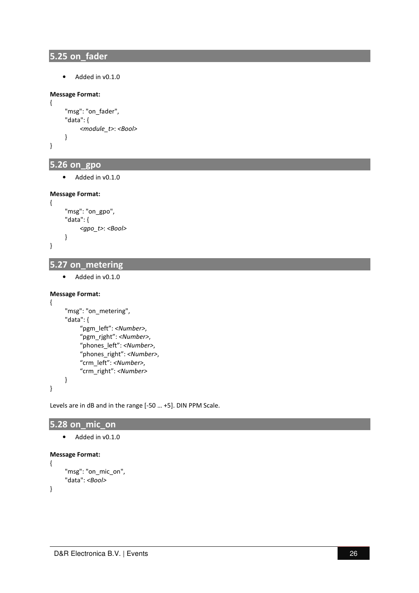## **5.25 on\_fader**

• Added in v0.1.0

#### **Message Format:**

{

}

{

}

{

```
 "msg": "on_fader", 
 "data": { 
      <module_t>: <Bool> 
 }
```
## **5.26 on\_gpo**

• Added in v0.1.0

#### **Message Format:**

```
 "msg": "on_gpo", 
 "data": { 
      <gpo_t>: <Bool> 
 }
```
# **5.27 on\_metering**

• Added in v0.1.0

#### **Message Format:**

```
 "msg": "on_metering", 
      "data": { 
           "pgm_left": <Number>, 
          "pgm_rjght": <Number>, 
          "phones_left": <Number>, 
          "phones_right": <Number>, 
          "crm_left": <Number>, 
          "crm_right": <Number>
      }
}
```
Levels are in dB and in the range [-50 … +5]. DIN PPM Scale.

## **5.28 on\_mic\_on**

```
• Added in v0.1.0
```
#### **Message Format:**

```
 "msg": "on_mic_on", 
 "data": <Bool>
```

```
}
```
{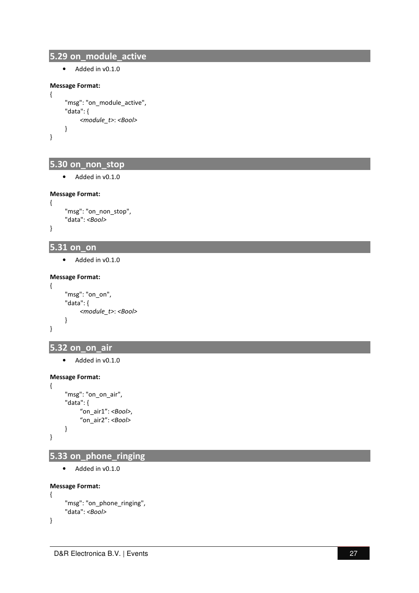## **5.29 on\_module\_active**

• Added in v0.1.0

#### **Message Format:**

{

}

{

}

{

}

```
 "msg": "on_module_active", 
 "data": { 
      <module_t>: <Bool> 
 }
```
# **5.30 on\_non\_stop**

• Added in v0.1.0

#### **Message Format:**

```
 "msg": "on_non_stop", 
 "data": <Bool>
```
#### **5.31 on\_on**

```
• Added in v0.1.0
```
#### **Message Format:**

```
 "msg": "on_on", 
 "data": { 
      <module_t>: <Bool> 
 }
```
## **5.32 on\_on\_air**

• Added in v0.1.0

#### **Message Format:**

```
{ 
       "msg": "on_on_air", 
       "data": { 
             "on_air1": <Bool>, 
             "on_air2": <Bool> 
       }
}
```
## **5.33 on\_phone\_ringing**

```
• Added in v0.1.0
```
#### **Message Format:**

}

```
{ 
      "msg": "on_phone_ringing", 
      "data": <Bool>
```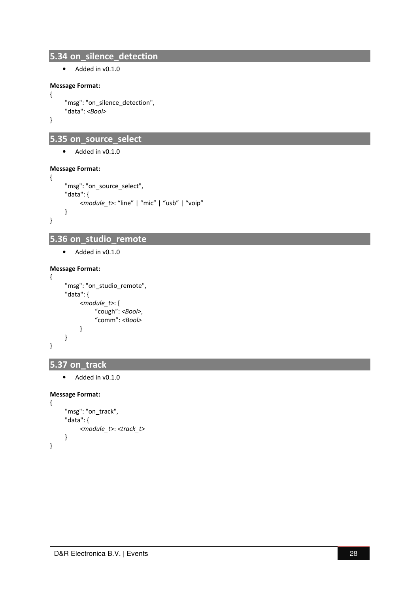## **5.34 on\_silence\_detection**

• Added in v0.1.0

#### **Message Format:**

```
{
```

```
 "msg": "on_silence_detection", 
 "data": <Bool>
```
}

# **5.35 on\_source\_select**

• Added in v0.1.0

#### **Message Format:**

```
{ 
      "msg": "on_source_select", 
      "data": { 
            <module_t>: "line" | "mic" | "usb" | "voip" 
     }
}
```
# **5.36 on\_studio\_remote**

• Added in v0.1.0

#### **Message Format:**

{

}

```
 "msg": "on_studio_remote", 
 "data": { 
      <module_t>: { 
            "cough": <Bool>, 
            "comm": <Bool>
      } 
 }
```
#### **5.37 on\_track**

• Added in v0.1.0

```
{ 
      "msg": "on_track", 
      "data": { 
            <module_t>: <track_t> 
      }
}
```